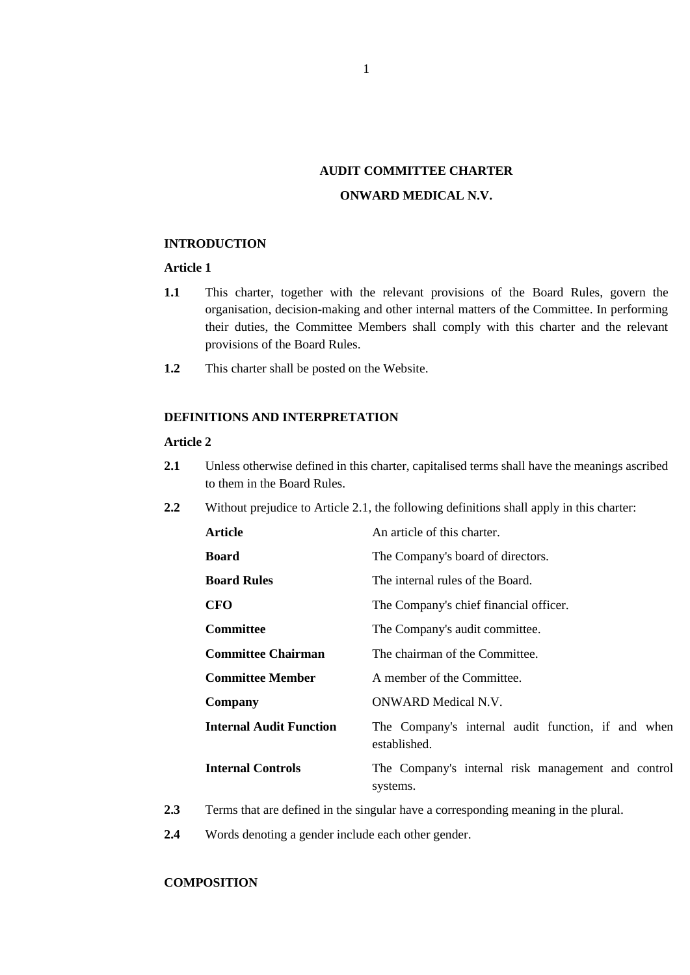# **AUDIT COMMITTEE CHARTER ONWARD MEDICAL N.V.**

#### **INTRODUCTION**

# **Article 1**

- **1.1** This charter, together with the relevant provisions of the Board Rules, govern the organisation, decision-making and other internal matters of the Committee. In performing their duties, the Committee Members shall comply with this charter and the relevant provisions of the Board Rules.
- **1.2** This charter shall be posted on the Website.

# **DEFINITIONS AND INTERPRETATION**

#### **Article 2**

- <span id="page-0-0"></span>**2.1** Unless otherwise defined in this charter, capitalised terms shall have the meanings ascribed to them in the Board Rules.
- **2.2** Without prejudice to Article [2.1,](#page-0-0) the following definitions shall apply in this charter:

| Article                        | An article of this charter.                                        |
|--------------------------------|--------------------------------------------------------------------|
| <b>Board</b>                   | The Company's board of directors.                                  |
| <b>Board Rules</b>             | The internal rules of the Board.                                   |
| CFO                            | The Company's chief financial officer.                             |
| <b>Committee</b>               | The Company's audit committee.                                     |
| <b>Committee Chairman</b>      | The chairman of the Committee.                                     |
| <b>Committee Member</b>        | A member of the Committee.                                         |
| Company                        | ONWARD Medical N.V.                                                |
| <b>Internal Audit Function</b> | The Company's internal audit function, if and when<br>established. |
| <b>Internal Controls</b>       | The Company's internal risk management and control<br>systems.     |

- **2.3** Terms that are defined in the singular have a corresponding meaning in the plural.
- **2.4** Words denoting a gender include each other gender.

# **COMPOSITION**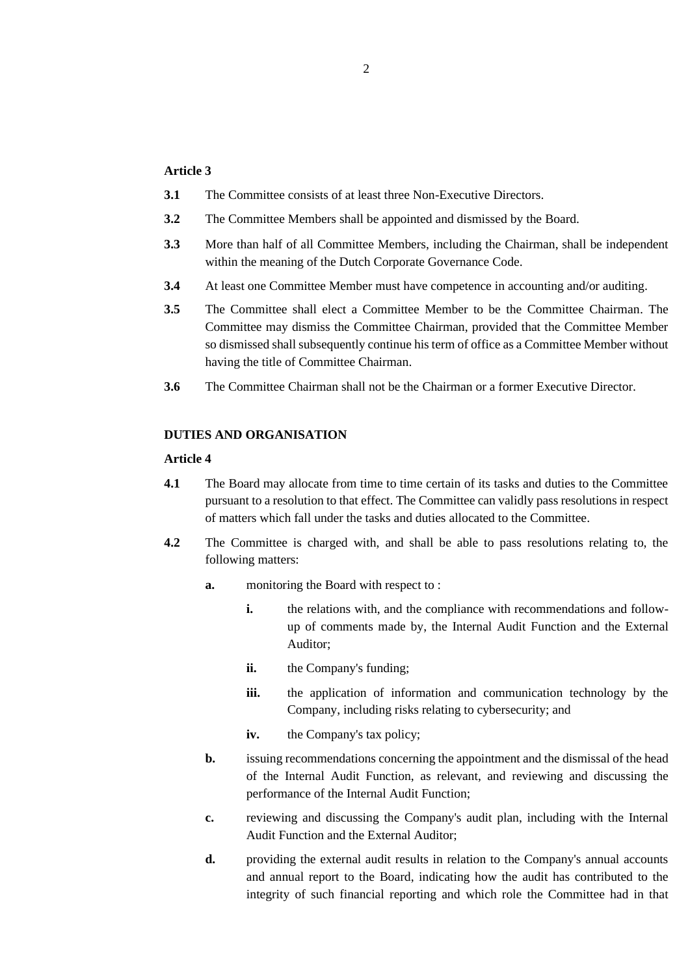#### **Article 3**

- **3.1** The Committee consists of at least three Non-Executive Directors.
- **3.2** The Committee Members shall be appointed and dismissed by the Board.
- **3.3** More than half of all Committee Members, including the Chairman, shall be independent within the meaning of the Dutch Corporate Governance Code.
- **3.4** At least one Committee Member must have competence in accounting and/or auditing.
- **3.5** The Committee shall elect a Committee Member to be the Committee Chairman. The Committee may dismiss the Committee Chairman, provided that the Committee Member so dismissed shall subsequently continue his term of office as a Committee Member without having the title of Committee Chairman.
- **3.6** The Committee Chairman shall not be the Chairman or a former Executive Director.

# **DUTIES AND ORGANISATION**

#### **Article 4**

- **4.1** The Board may allocate from time to time certain of its tasks and duties to the Committee pursuant to a resolution to that effect. The Committee can validly pass resolutions in respect of matters which fall under the tasks and duties allocated to the Committee.
- **4.2** The Committee is charged with, and shall be able to pass resolutions relating to, the following matters:
	- **a.** monitoring the Board with respect to :
		- **i.** the relations with, and the compliance with recommendations and followup of comments made by, the Internal Audit Function and the External Auditor;
		- **ii.** the Company's funding;
		- **iii.** the application of information and communication technology by the Company, including risks relating to cybersecurity; and
		- iv. the Company's tax policy;
	- **b.** issuing recommendations concerning the appointment and the dismissal of the head of the Internal Audit Function, as relevant, and reviewing and discussing the performance of the Internal Audit Function;
	- **c.** reviewing and discussing the Company's audit plan, including with the Internal Audit Function and the External Auditor;
	- **d.** providing the external audit results in relation to the Company's annual accounts and annual report to the Board, indicating how the audit has contributed to the integrity of such financial reporting and which role the Committee had in that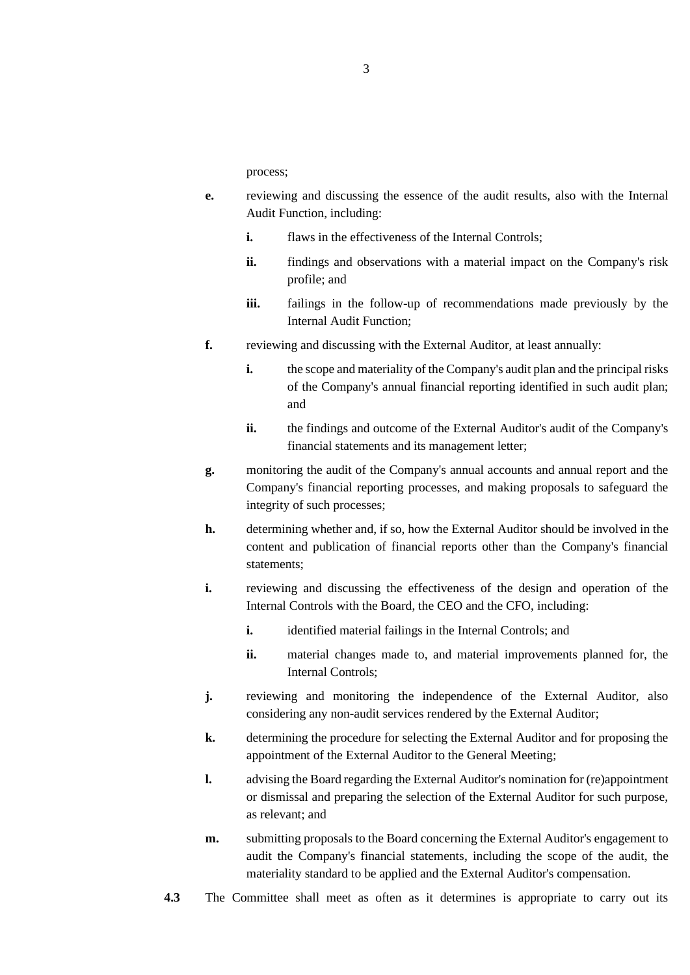process;

- **e.** reviewing and discussing the essence of the audit results, also with the Internal Audit Function, including:
	- **i.** flaws in the effectiveness of the Internal Controls:
	- **ii.** findings and observations with a material impact on the Company's risk profile; and
	- **iii.** failings in the follow-up of recommendations made previously by the Internal Audit Function;
- **f.** reviewing and discussing with the External Auditor, at least annually:
	- **i.** the scope and materiality of the Company's audit plan and the principal risks of the Company's annual financial reporting identified in such audit plan; and
	- **ii.** the findings and outcome of the External Auditor's audit of the Company's financial statements and its management letter;
- **g.** monitoring the audit of the Company's annual accounts and annual report and the Company's financial reporting processes, and making proposals to safeguard the integrity of such processes;
- **h.** determining whether and, if so, how the External Auditor should be involved in the content and publication of financial reports other than the Company's financial statements;
- **i.** reviewing and discussing the effectiveness of the design and operation of the Internal Controls with the Board, the CEO and the CFO, including:
	- **i.** identified material failings in the Internal Controls; and
	- **ii.** material changes made to, and material improvements planned for, the Internal Controls;
- **j.** reviewing and monitoring the independence of the External Auditor, also considering any non-audit services rendered by the External Auditor;
- **k.** determining the procedure for selecting the External Auditor and for proposing the appointment of the External Auditor to the General Meeting;
- **l.** advising the Board regarding the External Auditor's nomination for (re)appointment or dismissal and preparing the selection of the External Auditor for such purpose, as relevant; and
- **m.** submitting proposals to the Board concerning the External Auditor's engagement to audit the Company's financial statements, including the scope of the audit, the materiality standard to be applied and the External Auditor's compensation.
- **4.3** The Committee shall meet as often as it determines is appropriate to carry out its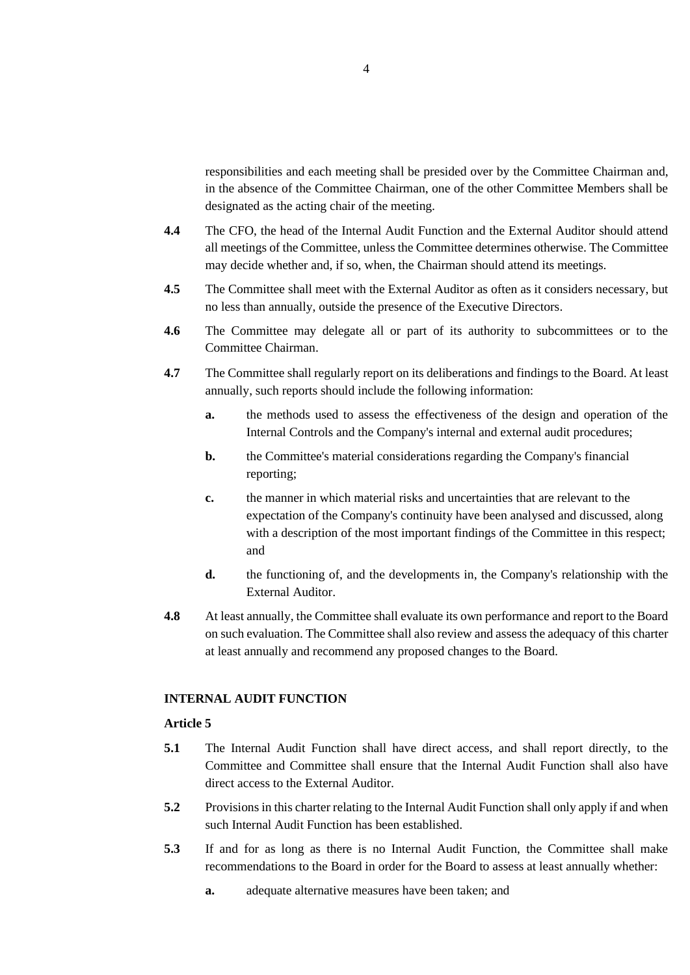responsibilities and each meeting shall be presided over by the Committee Chairman and, in the absence of the Committee Chairman, one of the other Committee Members shall be designated as the acting chair of the meeting.

- **4.4** The CFO, the head of the Internal Audit Function and the External Auditor should attend all meetings of the Committee, unless the Committee determines otherwise. The Committee may decide whether and, if so, when, the Chairman should attend its meetings.
- **4.5** The Committee shall meet with the External Auditor as often as it considers necessary, but no less than annually, outside the presence of the Executive Directors.
- **4.6** The Committee may delegate all or part of its authority to subcommittees or to the Committee Chairman.
- **4.7** The Committee shall regularly report on its deliberations and findings to the Board. At least annually, such reports should include the following information:
	- **a.** the methods used to assess the effectiveness of the design and operation of the Internal Controls and the Company's internal and external audit procedures;
	- **b.** the Committee's material considerations regarding the Company's financial reporting;
	- **c.** the manner in which material risks and uncertainties that are relevant to the expectation of the Company's continuity have been analysed and discussed, along with a description of the most important findings of the Committee in this respect; and
	- **d.** the functioning of, and the developments in, the Company's relationship with the External Auditor.
- **4.8** At least annually, the Committee shall evaluate its own performance and report to the Board on such evaluation. The Committee shall also review and assess the adequacy of this charter at least annually and recommend any proposed changes to the Board.

#### **INTERNAL AUDIT FUNCTION**

### **Article 5**

- **5.1** The Internal Audit Function shall have direct access, and shall report directly, to the Committee and Committee shall ensure that the Internal Audit Function shall also have direct access to the External Auditor.
- **5.2** Provisions in this charter relating to the Internal Audit Function shall only apply if and when such Internal Audit Function has been established.
- **5.3** If and for as long as there is no Internal Audit Function, the Committee shall make recommendations to the Board in order for the Board to assess at least annually whether:
	- **a.** adequate alternative measures have been taken; and